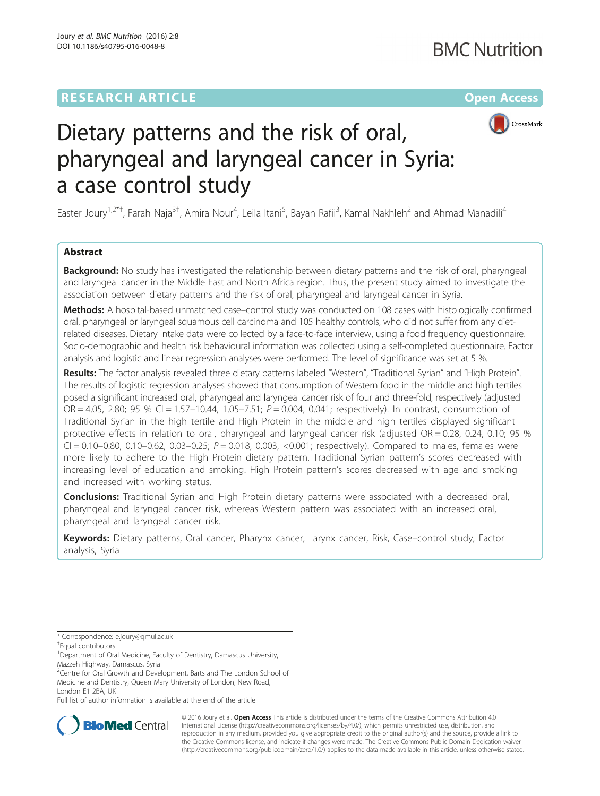# **RESEARCH ARTICLE Example 2014 12:30 The Company Access** (RESEARCH ARTICLE



# Dietary patterns and the risk of oral, pharyngeal and laryngeal cancer in Syria: a case control study

Easter Joury<sup>1,2\*†</sup>, Farah Naja<sup>3†</sup>, Amira Nour<sup>4</sup>, Leila Itani<sup>5</sup>, Bayan Rafii<sup>3</sup>, Kamal Nakhleh<sup>2</sup> and Ahmad Manadili<sup>4</sup>

# Abstract

**Background:** No study has investigated the relationship between dietary patterns and the risk of oral, pharyngeal and laryngeal cancer in the Middle East and North Africa region. Thus, the present study aimed to investigate the association between dietary patterns and the risk of oral, pharyngeal and laryngeal cancer in Syria.

Methods: A hospital-based unmatched case–control study was conducted on 108 cases with histologically confirmed oral, pharyngeal or laryngeal squamous cell carcinoma and 105 healthy controls, who did not suffer from any dietrelated diseases. Dietary intake data were collected by a face-to-face interview, using a food frequency questionnaire. Socio-demographic and health risk behavioural information was collected using a self-completed questionnaire. Factor analysis and logistic and linear regression analyses were performed. The level of significance was set at 5 %.

Results: The factor analysis revealed three dietary patterns labeled "Western", "Traditional Syrian" and "High Protein". The results of logistic regression analyses showed that consumption of Western food in the middle and high tertiles posed a significant increased oral, pharyngeal and laryngeal cancer risk of four and three-fold, respectively (adjusted OR =  $4.05$ , 2.80; 95 % CI = 1.57–10.44, 1.05–7.51;  $P = 0.004$ , 0.041; respectively). In contrast, consumption of Traditional Syrian in the high tertile and High Protein in the middle and high tertiles displayed significant protective effects in relation to oral, pharyngeal and laryngeal cancer risk (adjusted OR = 0.28, 0.24, 0.10; 95 %  $CI = 0.10 - 0.80$ , 0.10-0.62, 0.03-0.25;  $P = 0.018$ , 0.003, <0.001; respectively). Compared to males, females were more likely to adhere to the High Protein dietary pattern. Traditional Syrian pattern's scores decreased with increasing level of education and smoking. High Protein pattern's scores decreased with age and smoking and increased with working status.

**Conclusions:** Traditional Syrian and High Protein dietary patterns were associated with a decreased oral, pharyngeal and laryngeal cancer risk, whereas Western pattern was associated with an increased oral, pharyngeal and laryngeal cancer risk.

Keywords: Dietary patterns, Oral cancer, Pharynx cancer, Larynx cancer, Risk, Case-control study, Factor analysis, Syria

\* Correspondence: [e.joury@qmul.ac.uk](mailto:e.joury@qmul.ac.uk) †

Equal contributors

<sup>1</sup> Department of Oral Medicine, Faculty of Dentistry, Damascus University,

Mazzeh Highway, Damascus, Syria

<sup>2</sup> Centre for Oral Growth and Development, Barts and The London School of Medicine and Dentistry, Queen Mary University of London, New Road, London E1 2BA, UK

Full list of author information is available at the end of the article



© 2016 Joury et al. Open Access This article is distributed under the terms of the Creative Commons Attribution 4.0 International License [\(http://creativecommons.org/licenses/by/4.0/](http://creativecommons.org/licenses/by/4.0/)), which permits unrestricted use, distribution, and reproduction in any medium, provided you give appropriate credit to the original author(s) and the source, provide a link to the Creative Commons license, and indicate if changes were made. The Creative Commons Public Domain Dedication waiver [\(http://creativecommons.org/publicdomain/zero/1.0/](http://creativecommons.org/publicdomain/zero/1.0/)) applies to the data made available in this article, unless otherwise stated.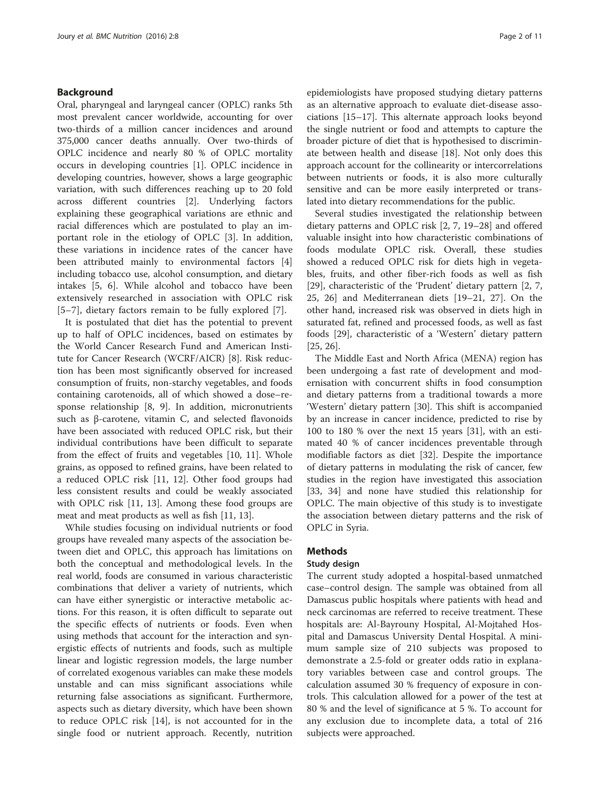# Background

Oral, pharyngeal and laryngeal cancer (OPLC) ranks 5th most prevalent cancer worldwide, accounting for over two-thirds of a million cancer incidences and around 375,000 cancer deaths annually. Over two-thirds of OPLC incidence and nearly 80 % of OPLC mortality occurs in developing countries [[1\]](#page-9-0). OPLC incidence in developing countries, however, shows a large geographic variation, with such differences reaching up to 20 fold across different countries [\[2](#page-9-0)]. Underlying factors explaining these geographical variations are ethnic and racial differences which are postulated to play an important role in the etiology of OPLC [\[3\]](#page-9-0). In addition, these variations in incidence rates of the cancer have been attributed mainly to environmental factors [\[4](#page-9-0)] including tobacco use, alcohol consumption, and dietary intakes [\[5](#page-9-0), [6\]](#page-9-0). While alcohol and tobacco have been extensively researched in association with OPLC risk [[5](#page-9-0)–[7\]](#page-9-0), dietary factors remain to be fully explored [\[7](#page-9-0)].

It is postulated that diet has the potential to prevent up to half of OPLC incidences, based on estimates by the World Cancer Research Fund and American Institute for Cancer Research (WCRF/AICR) [[8\]](#page-9-0). Risk reduction has been most significantly observed for increased consumption of fruits, non-starchy vegetables, and foods containing carotenoids, all of which showed a dose–response relationship [\[8](#page-9-0), [9\]](#page-9-0). In addition, micronutrients such as β-carotene, vitamin C, and selected flavonoids have been associated with reduced OPLC risk, but their individual contributions have been difficult to separate from the effect of fruits and vegetables [\[10](#page-9-0), [11\]](#page-9-0). Whole grains, as opposed to refined grains, have been related to a reduced OPLC risk [\[11](#page-9-0), [12\]](#page-9-0). Other food groups had less consistent results and could be weakly associated with OPLC risk [[11, 13\]](#page-9-0). Among these food groups are meat and meat products as well as fish [\[11](#page-9-0), [13\]](#page-9-0).

While studies focusing on individual nutrients or food groups have revealed many aspects of the association between diet and OPLC, this approach has limitations on both the conceptual and methodological levels. In the real world, foods are consumed in various characteristic combinations that deliver a variety of nutrients, which can have either synergistic or interactive metabolic actions. For this reason, it is often difficult to separate out the specific effects of nutrients or foods. Even when using methods that account for the interaction and synergistic effects of nutrients and foods, such as multiple linear and logistic regression models, the large number of correlated exogenous variables can make these models unstable and can miss significant associations while returning false associations as significant. Furthermore, aspects such as dietary diversity, which have been shown to reduce OPLC risk [[14\]](#page-9-0), is not accounted for in the single food or nutrient approach. Recently, nutrition

epidemiologists have proposed studying dietary patterns as an alternative approach to evaluate diet-disease associations [[15](#page-9-0)–[17](#page-9-0)]. This alternate approach looks beyond the single nutrient or food and attempts to capture the broader picture of diet that is hypothesised to discriminate between health and disease [[18](#page-9-0)]. Not only does this approach account for the collinearity or intercorrelations between nutrients or foods, it is also more culturally sensitive and can be more easily interpreted or translated into dietary recommendations for the public.

Several studies investigated the relationship between dietary patterns and OPLC risk [[2, 7, 19](#page-9-0)–[28\]](#page-10-0) and offered valuable insight into how characteristic combinations of foods modulate OPLC risk. Overall, these studies showed a reduced OPLC risk for diets high in vegetables, fruits, and other fiber-rich foods as well as fish [[29\]](#page-10-0), characteristic of the 'Prudent' dietary pattern [[2, 7](#page-9-0), [25, 26\]](#page-10-0) and Mediterranean diets [[19](#page-9-0)–[21](#page-10-0), [27\]](#page-10-0). On the other hand, increased risk was observed in diets high in saturated fat, refined and processed foods, as well as fast foods [\[29](#page-10-0)], characteristic of a 'Western' dietary pattern [[25, 26\]](#page-10-0).

The Middle East and North Africa (MENA) region has been undergoing a fast rate of development and modernisation with concurrent shifts in food consumption and dietary patterns from a traditional towards a more 'Western' dietary pattern [\[30\]](#page-10-0). This shift is accompanied by an increase in cancer incidence, predicted to rise by 100 to 180 % over the next 15 years [[31](#page-10-0)], with an estimated 40 % of cancer incidences preventable through modifiable factors as diet [[32\]](#page-10-0). Despite the importance of dietary patterns in modulating the risk of cancer, few studies in the region have investigated this association [[33, 34\]](#page-10-0) and none have studied this relationship for OPLC. The main objective of this study is to investigate the association between dietary patterns and the risk of OPLC in Syria.

### Methods

### Study design

The current study adopted a hospital-based unmatched case–control design. The sample was obtained from all Damascus public hospitals where patients with head and neck carcinomas are referred to receive treatment. These hospitals are: Al-Bayrouny Hospital, Al-Mojtahed Hospital and Damascus University Dental Hospital. A minimum sample size of 210 subjects was proposed to demonstrate a 2.5-fold or greater odds ratio in explanatory variables between case and control groups. The calculation assumed 30 % frequency of exposure in controls. This calculation allowed for a power of the test at 80 % and the level of significance at 5 %. To account for any exclusion due to incomplete data, a total of 216 subjects were approached.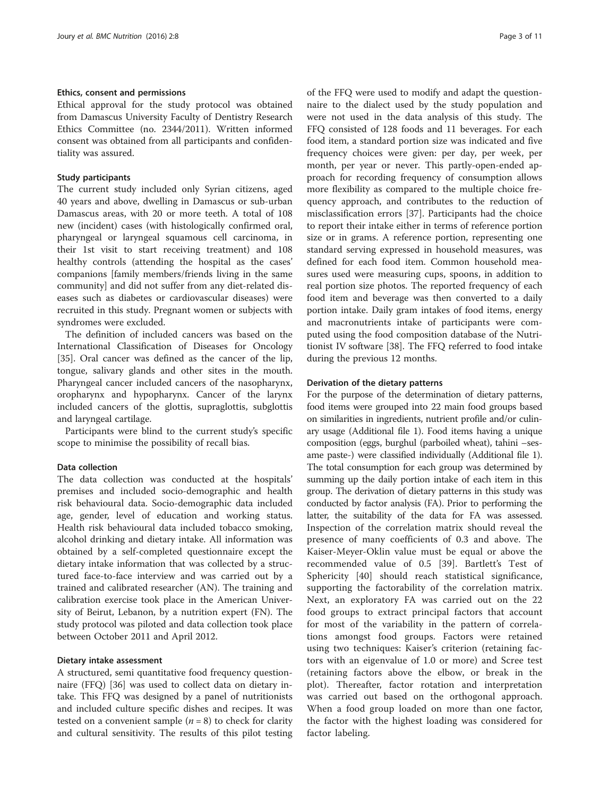### Ethics, consent and permissions

Ethical approval for the study protocol was obtained from Damascus University Faculty of Dentistry Research Ethics Committee (no. 2344/2011). Written informed consent was obtained from all participants and confidentiality was assured.

#### Study participants

The current study included only Syrian citizens, aged 40 years and above, dwelling in Damascus or sub-urban Damascus areas, with 20 or more teeth. A total of 108 new (incident) cases (with histologically confirmed oral, pharyngeal or laryngeal squamous cell carcinoma, in their 1st visit to start receiving treatment) and 108 healthy controls (attending the hospital as the cases' companions [family members/friends living in the same community] and did not suffer from any diet-related diseases such as diabetes or cardiovascular diseases) were recruited in this study. Pregnant women or subjects with syndromes were excluded.

The definition of included cancers was based on the International Classification of Diseases for Oncology [[35\]](#page-10-0). Oral cancer was defined as the cancer of the lip, tongue, salivary glands and other sites in the mouth. Pharyngeal cancer included cancers of the nasopharynx, oropharynx and hypopharynx. Cancer of the larynx included cancers of the glottis, supraglottis, subglottis and laryngeal cartilage.

Participants were blind to the current study's specific scope to minimise the possibility of recall bias.

### Data collection

The data collection was conducted at the hospitals' premises and included socio-demographic and health risk behavioural data. Socio-demographic data included age, gender, level of education and working status. Health risk behavioural data included tobacco smoking, alcohol drinking and dietary intake. All information was obtained by a self-completed questionnaire except the dietary intake information that was collected by a structured face-to-face interview and was carried out by a trained and calibrated researcher (AN). The training and calibration exercise took place in the American University of Beirut, Lebanon, by a nutrition expert (FN). The study protocol was piloted and data collection took place between October 2011 and April 2012.

#### Dietary intake assessment

A structured, semi quantitative food frequency questionnaire (FFQ) [[36\]](#page-10-0) was used to collect data on dietary intake. This FFQ was designed by a panel of nutritionists and included culture specific dishes and recipes. It was tested on a convenient sample  $(n = 8)$  to check for clarity and cultural sensitivity. The results of this pilot testing of the FFQ were used to modify and adapt the questionnaire to the dialect used by the study population and were not used in the data analysis of this study. The FFQ consisted of 128 foods and 11 beverages. For each food item, a standard portion size was indicated and five frequency choices were given: per day, per week, per month, per year or never. This partly-open-ended approach for recording frequency of consumption allows more flexibility as compared to the multiple choice frequency approach, and contributes to the reduction of misclassification errors [\[37](#page-10-0)]. Participants had the choice to report their intake either in terms of reference portion size or in grams. A reference portion, representing one standard serving expressed in household measures, was defined for each food item. Common household measures used were measuring cups, spoons, in addition to real portion size photos. The reported frequency of each food item and beverage was then converted to a daily portion intake. Daily gram intakes of food items, energy and macronutrients intake of participants were computed using the food composition database of the Nutritionist IV software [[38\]](#page-10-0). The FFQ referred to food intake during the previous 12 months.

#### Derivation of the dietary patterns

For the purpose of the determination of dietary patterns, food items were grouped into 22 main food groups based on similarities in ingredients, nutrient profile and/or culinary usage (Additional file [1](#page-9-0)). Food items having a unique composition (eggs, burghul (parboiled wheat), tahini –sesame paste-) were classified individually (Additional file [1](#page-9-0)). The total consumption for each group was determined by summing up the daily portion intake of each item in this group. The derivation of dietary patterns in this study was conducted by factor analysis (FA). Prior to performing the latter, the suitability of the data for FA was assessed. Inspection of the correlation matrix should reveal the presence of many coefficients of 0.3 and above. The Kaiser-Meyer-Oklin value must be equal or above the recommended value of 0.5 [[39\]](#page-10-0). Bartlett's Test of Sphericity [[40\]](#page-10-0) should reach statistical significance, supporting the factorability of the correlation matrix. Next, an exploratory FA was carried out on the 22 food groups to extract principal factors that account for most of the variability in the pattern of correlations amongst food groups. Factors were retained using two techniques: Kaiser's criterion (retaining factors with an eigenvalue of 1.0 or more) and Scree test (retaining factors above the elbow, or break in the plot). Thereafter, factor rotation and interpretation was carried out based on the orthogonal approach. When a food group loaded on more than one factor, the factor with the highest loading was considered for factor labeling.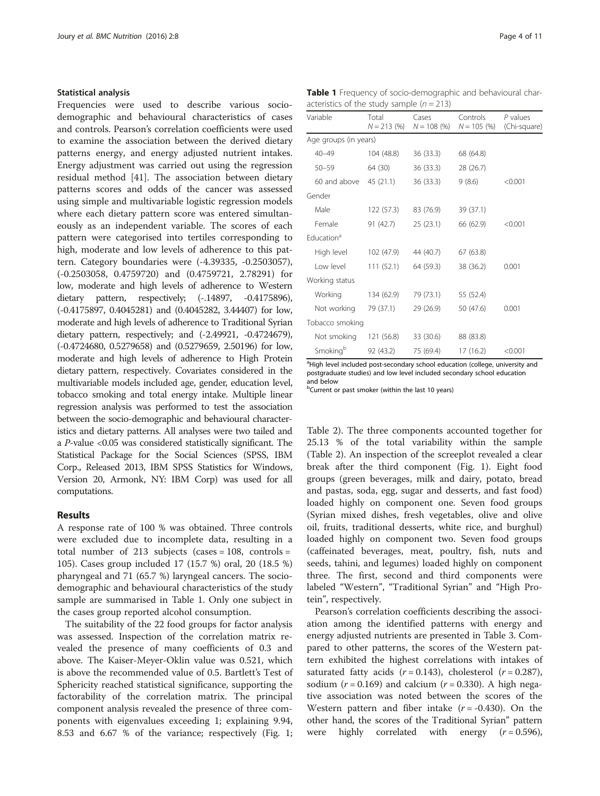#### Statistical analysis

Frequencies were used to describe various sociodemographic and behavioural characteristics of cases and controls. Pearson's correlation coefficients were used to examine the association between the derived dietary patterns energy, and energy adjusted nutrient intakes. Energy adjustment was carried out using the regression residual method [\[41\]](#page-10-0). The association between dietary patterns scores and odds of the cancer was assessed using simple and multivariable logistic regression models where each dietary pattern score was entered simultaneously as an independent variable. The scores of each pattern were categorised into tertiles corresponding to high, moderate and low levels of adherence to this pattern. Category boundaries were (-4.39335, -0.2503057), (-0.2503058, 0.4759720) and (0.4759721, 2.78291) for low, moderate and high levels of adherence to Western dietary pattern, respectively;  $(-.14897, -0.4175896)$ , (-0.4175897, 0.4045281) and (0.4045282, 3.44407) for low, moderate and high levels of adherence to Traditional Syrian dietary pattern, respectively; and (-2.49921, -0.4724679), (-0.4724680, 0.5279658) and (0.5279659, 2.50196) for low, moderate and high levels of adherence to High Protein dietary pattern, respectively. Covariates considered in the multivariable models included age, gender, education level, tobacco smoking and total energy intake. Multiple linear regression analysis was performed to test the association between the socio-demographic and behavioural characteristics and dietary patterns. All analyses were two tailed and a P-value <0.05 was considered statistically significant. The Statistical Package for the Social Sciences (SPSS, IBM Corp., Released 2013, IBM SPSS Statistics for Windows, Version 20, Armonk, NY: IBM Corp) was used for all computations.

## Results

A response rate of 100 % was obtained. Three controls were excluded due to incomplete data, resulting in a total number of 213 subjects (cases =  $108$ , controls = 105). Cases group included 17 (15.7 %) oral, 20 (18.5 %) pharyngeal and 71 (65.7 %) laryngeal cancers. The sociodemographic and behavioural characteristics of the study sample are summarised in Table 1. Only one subject in the cases group reported alcohol consumption.

The suitability of the 22 food groups for factor analysis was assessed. Inspection of the correlation matrix revealed the presence of many coefficients of 0.3 and above. The Kaiser-Meyer-Oklin value was 0.521, which is above the recommended value of 0.5. Bartlett's Test of Sphericity reached statistical significance, supporting the factorability of the correlation matrix. The principal component analysis revealed the presence of three components with eigenvalues exceeding 1; explaining 9.94, 8.53 and 6.67 % of the variance; respectively (Fig. [1](#page-4-0);

Table 1 Frequency of socio-demographic and behavioural characteristics of the study sample  $(n = 213)$ 

| Variable               | Total<br>$N = 213(96)$ | Cases<br>$N = 108$ (%) | Controls<br>$N = 105$ (%) | P values<br>(Chi-square) |  |
|------------------------|------------------------|------------------------|---------------------------|--------------------------|--|
| Age groups (in years)  |                        |                        |                           |                          |  |
| $40 - 49$              | 104 (48.8)             | 36(33.3)               | 68 (64.8)                 |                          |  |
| $50 - 59$              | 64 (30)                | 36(33.3)               | 28 (26.7)                 |                          |  |
| 60 and above           | 45(21.1)               | 36 (33.3)              | 9(8.6)                    | < 0.001                  |  |
| Gender                 |                        |                        |                           |                          |  |
| Male                   | 122 (57.3)             | 83 (76.9)              | 39 (37.1)                 |                          |  |
| Female                 | 91 (42.7)              | 25(23.1)               | 66 (62.9)                 | < 0.001                  |  |
| Fducation <sup>a</sup> |                        |                        |                           |                          |  |
| High level             | 102 (47.9)             | 44 (40.7)              | 67 (63.8)                 |                          |  |
| I ow level             | 111(52.1)              | 64 (59.3)              | 38 (36.2)                 | 0.001                    |  |
| Working status         |                        |                        |                           |                          |  |
| Working                | 134 (62.9)             | 79 (73.1)              | 55 (52.4)                 |                          |  |
| Not working            | 79 (37.1)              | 29(26.9)               | 50 (47.6)                 | 0.001                    |  |
| Tobacco smoking        |                        |                        |                           |                          |  |
| Not smoking            | 121 (56.8)             | 33 (30.6)              | 88 (83.8)                 |                          |  |
| Smoking <sup>b</sup>   | 92 (43.2)              | 75 (69.4)              | 17 (16.2)                 | < 0.001                  |  |

<sup>a</sup>High level included post-secondary school education (college, university and postgraduate studies) and low level included secondary school education and below

<sup>b</sup>Current or past smoker (within the last 10 years)

Table [2\)](#page-5-0). The three components accounted together for 25.13 % of the total variability within the sample (Table [2](#page-5-0)). An inspection of the screeplot revealed a clear break after the third component (Fig. [1](#page-4-0)). Eight food groups (green beverages, milk and dairy, potato, bread and pastas, soda, egg, sugar and desserts, and fast food) loaded highly on component one. Seven food groups (Syrian mixed dishes, fresh vegetables, olive and olive oil, fruits, traditional desserts, white rice, and burghul) loaded highly on component two. Seven food groups (caffeinated beverages, meat, poultry, fish, nuts and seeds, tahini, and legumes) loaded highly on component three. The first, second and third components were labeled "Western", "Traditional Syrian" and "High Protein", respectively.

Pearson's correlation coefficients describing the association among the identified patterns with energy and energy adjusted nutrients are presented in Table [3](#page-6-0). Compared to other patterns, the scores of the Western pattern exhibited the highest correlations with intakes of saturated fatty acids  $(r = 0.143)$ , cholesterol  $(r = 0.287)$ , sodium ( $r = 0.169$ ) and calcium ( $r = 0.330$ ). A high negative association was noted between the scores of the Western pattern and fiber intake  $(r = -0.430)$ . On the other hand, the scores of the Traditional Syrian" pattern were highly correlated with energy  $(r = 0.596)$ ,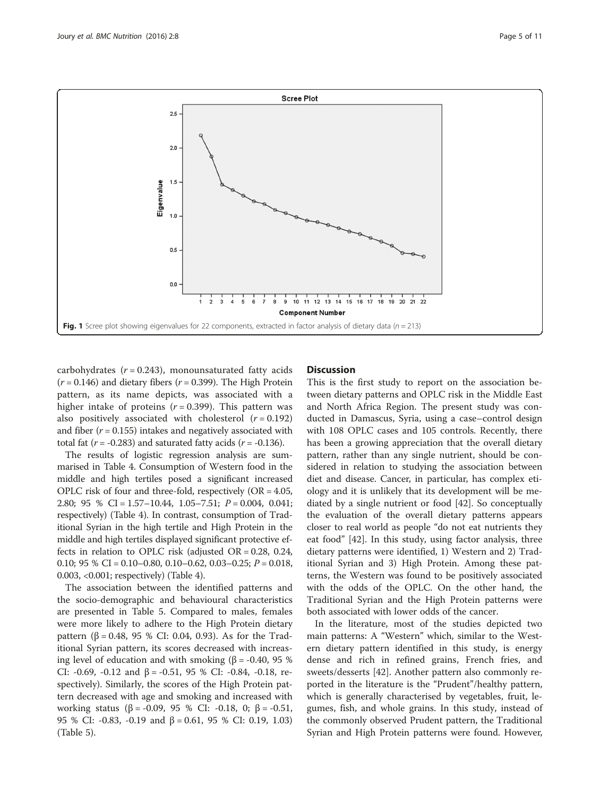<span id="page-4-0"></span>

carbohydrates  $(r = 0.243)$ , monounsaturated fatty acids  $(r = 0.146)$  and dietary fibers  $(r = 0.399)$ . The High Protein pattern, as its name depicts, was associated with a higher intake of proteins  $(r = 0.399)$ . This pattern was also positively associated with cholesterol  $(r = 0.192)$ and fiber ( $r = 0.155$ ) intakes and negatively associated with total fat ( $r = -0.283$ ) and saturated fatty acids ( $r = -0.136$ ).

The results of logistic regression analysis are summarised in Table [4.](#page-6-0) Consumption of Western food in the middle and high tertiles posed a significant increased OPLC risk of four and three-fold, respectively  $(OR = 4.05,$ 2.80; 95 % CI = 1.57–10.44, 1.05–7.51; P = 0.004, 0.041; respectively) (Table [4](#page-6-0)). In contrast, consumption of Traditional Syrian in the high tertile and High Protein in the middle and high tertiles displayed significant protective effects in relation to OPLC risk (adjusted OR = 0.28, 0.24, 0.10; 95 % CI = 0.10–0.80, 0.10–0.62, 0.03–0.25;  $P = 0.018$ , 0.003, <0.001; respectively) (Table [4](#page-6-0)).

The association between the identified patterns and the socio-demographic and behavioural characteristics are presented in Table [5](#page-7-0). Compared to males, females were more likely to adhere to the High Protein dietary pattern (β = 0.48, 95 % CI: 0.04, 0.93). As for the Traditional Syrian pattern, its scores decreased with increasing level of education and with smoking (β = -0.40, 95 %) CI: -0.69, -0.12 and  $β = -0.51$ , 95 % CI: -0.84, -0.18, respectively). Similarly, the scores of the High Protein pattern decreased with age and smoking and increased with working status (β = -0.09, 95 % CI: -0.18, 0; β = -0.51, 95 % CI: -0.83, -0.19 and  $β = 0.61$ , 95 % CI: 0.19, 1.03) (Table [5\)](#page-7-0).

### **Discussion**

This is the first study to report on the association between dietary patterns and OPLC risk in the Middle East and North Africa Region. The present study was conducted in Damascus, Syria, using a case–control design with 108 OPLC cases and 105 controls. Recently, there has been a growing appreciation that the overall dietary pattern, rather than any single nutrient, should be considered in relation to studying the association between diet and disease. Cancer, in particular, has complex etiology and it is unlikely that its development will be mediated by a single nutrient or food [[42\]](#page-10-0). So conceptually the evaluation of the overall dietary patterns appears closer to real world as people "do not eat nutrients they eat food" [\[42](#page-10-0)]. In this study, using factor analysis, three dietary patterns were identified, 1) Western and 2) Traditional Syrian and 3) High Protein. Among these patterns, the Western was found to be positively associated with the odds of the OPLC. On the other hand, the Traditional Syrian and the High Protein patterns were both associated with lower odds of the cancer.

In the literature, most of the studies depicted two main patterns: A "Western" which, similar to the Western dietary pattern identified in this study, is energy dense and rich in refined grains, French fries, and sweets/desserts [\[42](#page-10-0)]. Another pattern also commonly reported in the literature is the "Prudent"/healthy pattern, which is generally characterised by vegetables, fruit, legumes, fish, and whole grains. In this study, instead of the commonly observed Prudent pattern, the Traditional Syrian and High Protein patterns were found. However,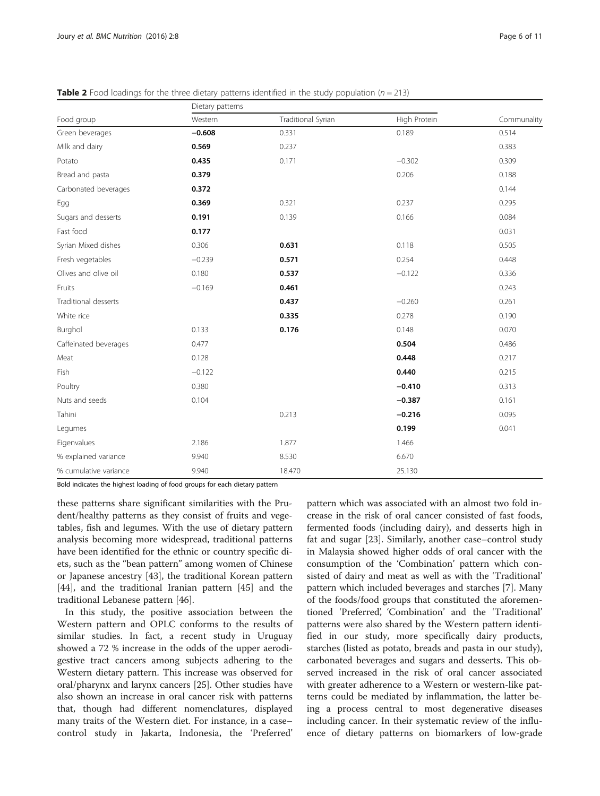|                       | Dietary patterns |                    |              |             |
|-----------------------|------------------|--------------------|--------------|-------------|
| Food group            | Western          | Traditional Syrian | High Protein | Communality |
| Green beverages       | $-0.608$         | 0.331              | 0.189        | 0.514       |
| Milk and dairy        | 0.569            | 0.237              |              | 0.383       |
| Potato                | 0.435            | 0.171              | $-0.302$     | 0.309       |
| Bread and pasta       | 0.379            |                    | 0.206        | 0.188       |
| Carbonated beverages  | 0.372            |                    |              | 0.144       |
| Egg                   | 0.369            | 0.321              | 0.237        | 0.295       |
| Sugars and desserts   | 0.191            | 0.139              | 0.166        | 0.084       |
| Fast food             | 0.177            |                    |              | 0.031       |
| Syrian Mixed dishes   | 0.306            | 0.631              | 0.118        | 0.505       |
| Fresh vegetables      | $-0.239$         | 0.571              | 0.254        | 0.448       |
| Olives and olive oil  | 0.180            | 0.537              | $-0.122$     | 0.336       |
| Fruits                | $-0.169$         | 0.461              |              | 0.243       |
| Traditional desserts  |                  | 0.437              | $-0.260$     | 0.261       |
| White rice            |                  | 0.335              | 0.278        | 0.190       |
| Burghol               | 0.133            | 0.176              | 0.148        | 0.070       |
| Caffeinated beverages | 0.477            |                    | 0.504        | 0.486       |
| Meat                  | 0.128            |                    | 0.448        | 0.217       |
| Fish                  | $-0.122$         |                    | 0.440        | 0.215       |
| Poultry               | 0.380            |                    | $-0.410$     | 0.313       |
| Nuts and seeds        | 0.104            |                    | $-0.387$     | 0.161       |
| Tahini                |                  | 0.213              | $-0.216$     | 0.095       |
| Legumes               |                  |                    | 0.199        | 0.041       |
| Eigenvalues           | 2.186            | 1.877              | 1.466        |             |
| % explained variance  | 9.940            | 8.530              | 6.670        |             |
| % cumulative variance | 9.940            | 18.470             | 25.130       |             |

<span id="page-5-0"></span>**Table 2** Food loadings for the three dietary patterns identified in the study population ( $n = 213$ )

Bold indicates the highest loading of food groups for each dietary pattern

these patterns share significant similarities with the Prudent/healthy patterns as they consist of fruits and vegetables, fish and legumes. With the use of dietary pattern analysis becoming more widespread, traditional patterns have been identified for the ethnic or country specific diets, such as the "bean pattern" among women of Chinese or Japanese ancestry [[43](#page-10-0)], the traditional Korean pattern [[44\]](#page-10-0), and the traditional Iranian pattern [[45\]](#page-10-0) and the traditional Lebanese pattern [[46\]](#page-10-0).

In this study, the positive association between the Western pattern and OPLC conforms to the results of similar studies. In fact, a recent study in Uruguay showed a 72 % increase in the odds of the upper aerodigestive tract cancers among subjects adhering to the Western dietary pattern. This increase was observed for oral/pharynx and larynx cancers [\[25](#page-10-0)]. Other studies have also shown an increase in oral cancer risk with patterns that, though had different nomenclatures, displayed many traits of the Western diet. For instance, in a case– control study in Jakarta, Indonesia, the 'Preferred'

pattern which was associated with an almost two fold increase in the risk of oral cancer consisted of fast foods, fermented foods (including dairy), and desserts high in fat and sugar [[23](#page-10-0)]. Similarly, another case–control study in Malaysia showed higher odds of oral cancer with the consumption of the 'Combination' pattern which consisted of dairy and meat as well as with the 'Traditional' pattern which included beverages and starches [\[7\]](#page-9-0). Many of the foods/food groups that constituted the aforementioned 'Preferred', 'Combination' and the 'Traditional' patterns were also shared by the Western pattern identified in our study, more specifically dairy products, starches (listed as potato, breads and pasta in our study), carbonated beverages and sugars and desserts. This observed increased in the risk of oral cancer associated with greater adherence to a Western or western-like patterns could be mediated by inflammation, the latter being a process central to most degenerative diseases including cancer. In their systematic review of the influence of dietary patterns on biomarkers of low-grade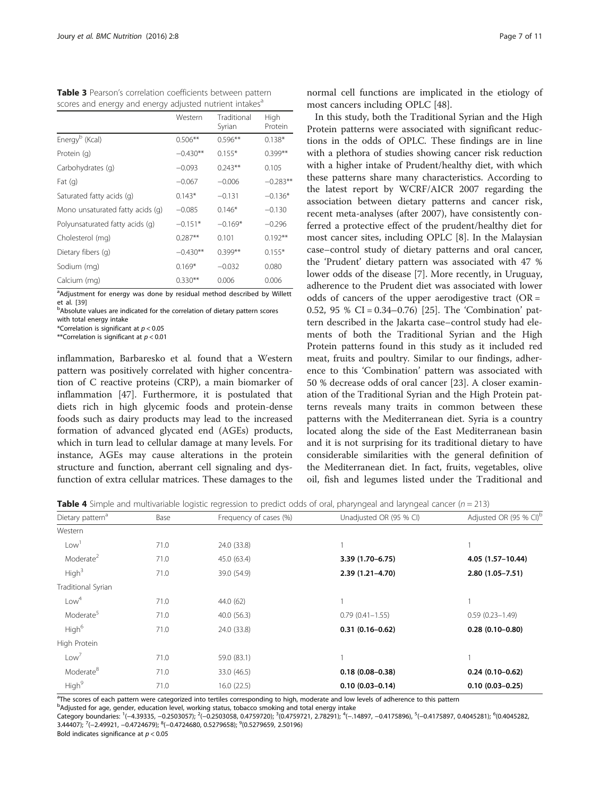<span id="page-6-0"></span>

|  |  | Table 3 Pearson's correlation coefficients between pattern          |
|--|--|---------------------------------------------------------------------|
|  |  | scores and energy and energy adjusted nutrient intakes <sup>a</sup> |

|                                  | Western    | Traditional<br>Syrian | High<br>Protein |
|----------------------------------|------------|-----------------------|-----------------|
| Energy <sup>b</sup> (Kcal)       | $0.506**$  | $0.596**$             | $0.138*$        |
| Protein (g)                      | $-0.430**$ | $0.155*$              | $0.399**$       |
| Carbohydrates (q)                | $-0.093$   | $0.243**$             | 0.105           |
| Fat $(q)$                        | $-0.067$   | $-0.006$              | $-0.283**$      |
| Saturated fatty acids (q)        | $0.143*$   | $-0.131$              | $-0.136*$       |
| Mono unsaturated fatty acids (q) | $-0.085$   | $0.146*$              | $-0.130$        |
| Polyunsaturated fatty acids (q)  | $-0.151*$  | $-0.169*$             | $-0.296$        |
| Cholesterol (mg)                 | $0.287**$  | 0.101                 | $0.192**$       |
| Dietary fibers (q)               | $-0.430**$ | $0.399**$             | $0.155*$        |
| Sodium (mg)                      | $0.169*$   | $-0.032$              | 0.080           |
| Calcium (mg)                     | $0.330**$  | 0.006                 | 0.006           |

<sup>a</sup>Adjustment for energy was done by residual method described by Willett

et al. [[39](#page-10-0)]<br><sup>b</sup>Absolute values are indicated for the correlation of dietary pattern scores with total energy intake

\*Correlation is significant at  $p < 0.05$ 

\*\*Correlation is significant at  $p < 0.01$ 

inflammation, Barbaresko et al. found that a Western pattern was positively correlated with higher concentration of C reactive proteins (CRP), a main biomarker of inflammation [[47\]](#page-10-0). Furthermore, it is postulated that diets rich in high glycemic foods and protein-dense foods such as dairy products may lead to the increased formation of advanced glycated end (AGEs) products, which in turn lead to cellular damage at many levels. For instance, AGEs may cause alterations in the protein structure and function, aberrant cell signaling and dysfunction of extra cellular matrices. These damages to the normal cell functions are implicated in the etiology of most cancers including OPLC [[48\]](#page-10-0).

In this study, both the Traditional Syrian and the High Protein patterns were associated with significant reductions in the odds of OPLC. These findings are in line with a plethora of studies showing cancer risk reduction with a higher intake of Prudent/healthy diet, with which these patterns share many characteristics. According to the latest report by WCRF/AICR 2007 regarding the association between dietary patterns and cancer risk, recent meta-analyses (after 2007), have consistently conferred a protective effect of the prudent/healthy diet for most cancer sites, including OPLC [\[8](#page-9-0)]. In the Malaysian case–control study of dietary patterns and oral cancer, the 'Prudent' dietary pattern was associated with 47 % lower odds of the disease [\[7](#page-9-0)]. More recently, in Uruguay, adherence to the Prudent diet was associated with lower odds of cancers of the upper aerodigestive tract ( $OR =$ 0.52, 95 % CI = 0.34–0.76) [[25\]](#page-10-0). The 'Combination' pattern described in the Jakarta case–control study had elements of both the Traditional Syrian and the High Protein patterns found in this study as it included red meat, fruits and poultry. Similar to our findings, adherence to this 'Combination' pattern was associated with 50 % decrease odds of oral cancer [\[23](#page-10-0)]. A closer examination of the Traditional Syrian and the High Protein patterns reveals many traits in common between these patterns with the Mediterranean diet. Syria is a country located along the side of the East Mediterranean basin and it is not surprising for its traditional dietary to have considerable similarities with the general definition of the Mediterranean diet. In fact, fruits, vegetables, olive oil, fish and legumes listed under the Traditional and

Table 4 Simple and multivariable logistic regression to predict odds of oral, pharyngeal and laryngeal cancer ( $n = 213$ )

| Dietary pattern <sup>a</sup> | Base | Frequency of cases (%) | Unadjusted OR (95 % CI) |                     |  |
|------------------------------|------|------------------------|-------------------------|---------------------|--|
| Western                      |      |                        |                         |                     |  |
| Low <sup>1</sup>             | 71.0 | 24.0 (33.8)            |                         |                     |  |
| Moderate <sup>2</sup>        | 71.0 | 45.0 (63.4)            | 3.39 (1.70-6.75)        | 4.05 (1.57-10.44)   |  |
| High <sup>3</sup>            | 71.0 | 39.0 (54.9)            | $2.39(1.21 - 4.70)$     | $2.80(1.05 - 7.51)$ |  |
| Traditional Syrian           |      |                        |                         |                     |  |
| Low <sup>4</sup>             | 71.0 | 44.0 (62)              |                         |                     |  |
| Moderate <sup>5</sup>        | 71.0 | 40.0 (56.3)            | $0.79(0.41 - 1.55)$     | $0.59(0.23 - 1.49)$ |  |
| High <sup>6</sup>            | 71.0 | 24.0 (33.8)            | $0.31(0.16 - 0.62)$     | $0.28(0.10 - 0.80)$ |  |
| High Protein                 |      |                        |                         |                     |  |
| Low <sup>7</sup>             | 71.0 | 59.0 (83.1)            |                         |                     |  |
| Moderate <sup>8</sup>        | 71.0 | 33.0 (46.5)            | $0.18(0.08 - 0.38)$     | $0.24(0.10-0.62)$   |  |
| High <sup>9</sup>            | 71.0 | 16.0(22.5)             | $0.10(0.03 - 0.14)$     | $0.10(0.03 - 0.25)$ |  |

<sup>a</sup>The scores of each pattern were categorized into tertiles corresponding to high, moderate and low levels of adherence to this pattern

<sup>b</sup>Adjusted for age, gender, education level, working status, tobacco smoking and total energy intake

Category boundaries: 1(-4.39335, -0.2503057); <sup>2</sup>(-0.2503058, 0.4759720); <sup>3</sup>(0.4759721, 2.78291); <sup>4</sup>(-.14897, -0.4175896), <sup>5</sup>(-0.4175897, 0.4045281); <sup>6</sup>(0.4045281) 3.44407); <sup>7</sup>(−2.49921, −0.4724679); <sup>8</sup>(−0.4724680, 0.5279658); <sup>9</sup>(0.5279659, 2.50196)

Bold indicates significance at  $p < 0.05$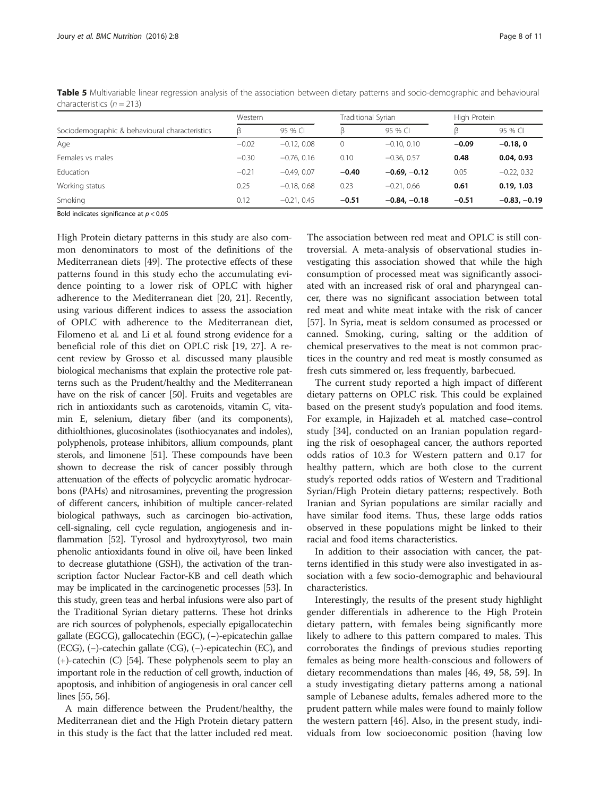<span id="page-7-0"></span>Table 5 Multivariable linear regression analysis of the association between dietary patterns and socio-demographic and behavioural characteristics  $(n = 213)$ 

|                                                | Western |               |         | Traditional Syrian |         | High Protein   |  |
|------------------------------------------------|---------|---------------|---------|--------------------|---------|----------------|--|
| Sociodemographic & behavioural characteristics | ß       | 95 % CI       | ß       | 95 % CI            | ß       | 95 % CI        |  |
| Age                                            | $-0.02$ | $-0.12.0.08$  | 0       | $-0.10, 0.10$      | $-0.09$ | $-0.18.0$      |  |
| Females vs males                               | $-0.30$ | $-0.76.0.16$  | 0.10    | $-0.36.0.57$       | 0.48    | 0.04, 0.93     |  |
| Education                                      | $-0.21$ | $-0.49.0.07$  | $-0.40$ | $-0.69, -0.12$     | 0.05    | $-0.22, 0.32$  |  |
| Working status                                 | 0.25    | $-0.18.068$   | 0.23    | $-0.21.066$        | 0.61    | 0.19, 1.03     |  |
| Smoking                                        | 0.12    | $-0.21, 0.45$ | $-0.51$ | $-0.84, -0.18$     | $-0.51$ | $-0.83, -0.19$ |  |

Bold indicates significance at  $p < 0.05$ 

High Protein dietary patterns in this study are also common denominators to most of the definitions of the Mediterranean diets [\[49](#page-10-0)]. The protective effects of these patterns found in this study echo the accumulating evidence pointing to a lower risk of OPLC with higher adherence to the Mediterranean diet [\[20](#page-9-0), [21](#page-10-0)]. Recently, using various different indices to assess the association of OPLC with adherence to the Mediterranean diet, Filomeno et al. and Li et al. found strong evidence for a beneficial role of this diet on OPLC risk [[19](#page-9-0), [27](#page-10-0)]. A recent review by Grosso et al. discussed many plausible biological mechanisms that explain the protective role patterns such as the Prudent/healthy and the Mediterranean have on the risk of cancer [\[50\]](#page-10-0). Fruits and vegetables are rich in antioxidants such as carotenoids, vitamin C, vitamin E, selenium, dietary fiber (and its components), dithiolthiones, glucosinolates (isothiocyanates and indoles), polyphenols, protease inhibitors, allium compounds, plant sterols, and limonene [[51](#page-10-0)]. These compounds have been shown to decrease the risk of cancer possibly through attenuation of the effects of polycyclic aromatic hydrocarbons (PAHs) and nitrosamines, preventing the progression of different cancers, inhibition of multiple cancer-related biological pathways, such as carcinogen bio-activation, cell-signaling, cell cycle regulation, angiogenesis and inflammation [\[52\]](#page-10-0). Tyrosol and hydroxytyrosol, two main phenolic antioxidants found in olive oil, have been linked to decrease glutathione (GSH), the activation of the transcription factor Nuclear Factor-КB and cell death which may be implicated in the carcinogenetic processes [\[53\]](#page-10-0). In this study, green teas and herbal infusions were also part of the Traditional Syrian dietary patterns. These hot drinks are rich sources of polyphenols, especially epigallocatechin gallate (EGCG), gallocatechin (EGC), (−)-epicatechin gallae (ECG), (−)-catechin gallate (CG), (−)-epicatechin (EC), and (+)-catechin (C) [\[54\]](#page-10-0). These polyphenols seem to play an important role in the reduction of cell growth, induction of apoptosis, and inhibition of angiogenesis in oral cancer cell lines [\[55, 56\]](#page-10-0).

A main difference between the Prudent/healthy, the Mediterranean diet and the High Protein dietary pattern in this study is the fact that the latter included red meat.

The association between red meat and OPLC is still controversial. A meta-analysis of observational studies investigating this association showed that while the high consumption of processed meat was significantly associated with an increased risk of oral and pharyngeal cancer, there was no significant association between total red meat and white meat intake with the risk of cancer [[57\]](#page-10-0). In Syria, meat is seldom consumed as processed or canned. Smoking, curing, salting or the addition of chemical preservatives to the meat is not common practices in the country and red meat is mostly consumed as fresh cuts simmered or, less frequently, barbecued.

The current study reported a high impact of different dietary patterns on OPLC risk. This could be explained based on the present study's population and food items. For example, in Hajizadeh et al. matched case–control study [[34\]](#page-10-0), conducted on an Iranian population regarding the risk of oesophageal cancer, the authors reported odds ratios of 10.3 for Western pattern and 0.17 for healthy pattern, which are both close to the current study's reported odds ratios of Western and Traditional Syrian/High Protein dietary patterns; respectively. Both Iranian and Syrian populations are similar racially and have similar food items. Thus, these large odds ratios observed in these populations might be linked to their racial and food items characteristics.

In addition to their association with cancer, the patterns identified in this study were also investigated in association with a few socio-demographic and behavioural characteristics.

Interestingly, the results of the present study highlight gender differentials in adherence to the High Protein dietary pattern, with females being significantly more likely to adhere to this pattern compared to males. This corroborates the findings of previous studies reporting females as being more health-conscious and followers of dietary recommendations than males [[46, 49](#page-10-0), [58, 59](#page-10-0)]. In a study investigating dietary patterns among a national sample of Lebanese adults, females adhered more to the prudent pattern while males were found to mainly follow the western pattern [[46\]](#page-10-0). Also, in the present study, individuals from low socioeconomic position (having low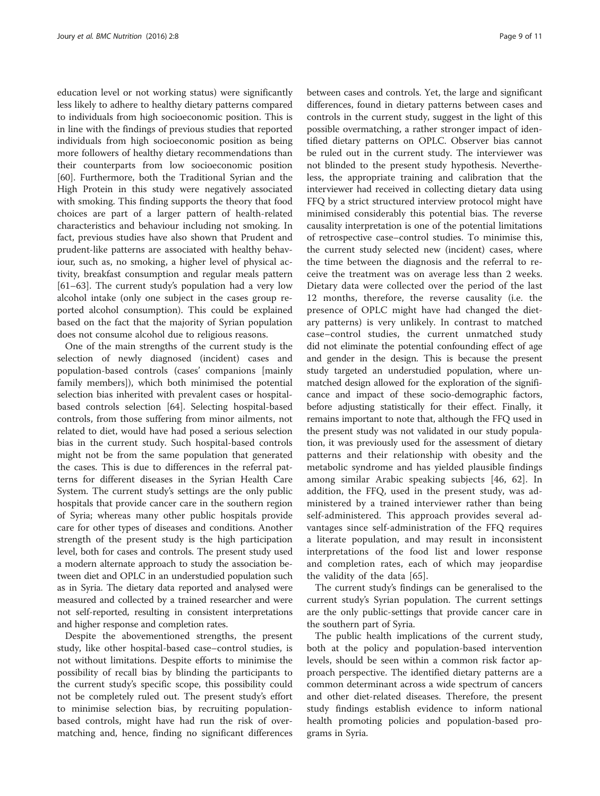education level or not working status) were significantly less likely to adhere to healthy dietary patterns compared to individuals from high socioeconomic position. This is in line with the findings of previous studies that reported individuals from high socioeconomic position as being more followers of healthy dietary recommendations than their counterparts from low socioeconomic position [[60\]](#page-10-0). Furthermore, both the Traditional Syrian and the High Protein in this study were negatively associated with smoking. This finding supports the theory that food choices are part of a larger pattern of health-related characteristics and behaviour including not smoking. In fact, previous studies have also shown that Prudent and prudent-like patterns are associated with healthy behaviour, such as, no smoking, a higher level of physical activity, breakfast consumption and regular meals pattern [[61](#page-10-0)–[63](#page-10-0)]. The current study's population had a very low alcohol intake (only one subject in the cases group reported alcohol consumption). This could be explained based on the fact that the majority of Syrian population does not consume alcohol due to religious reasons.

One of the main strengths of the current study is the selection of newly diagnosed (incident) cases and population-based controls (cases' companions [mainly family members]), which both minimised the potential selection bias inherited with prevalent cases or hospitalbased controls selection [[64\]](#page-10-0). Selecting hospital-based controls, from those suffering from minor ailments, not related to diet, would have had posed a serious selection bias in the current study. Such hospital-based controls might not be from the same population that generated the cases. This is due to differences in the referral patterns for different diseases in the Syrian Health Care System. The current study's settings are the only public hospitals that provide cancer care in the southern region of Syria; whereas many other public hospitals provide care for other types of diseases and conditions. Another strength of the present study is the high participation level, both for cases and controls. The present study used a modern alternate approach to study the association between diet and OPLC in an understudied population such as in Syria. The dietary data reported and analysed were measured and collected by a trained researcher and were not self-reported, resulting in consistent interpretations and higher response and completion rates.

Despite the abovementioned strengths, the present study, like other hospital-based case–control studies, is not without limitations. Despite efforts to minimise the possibility of recall bias by blinding the participants to the current study's specific scope, this possibility could not be completely ruled out. The present study's effort to minimise selection bias, by recruiting populationbased controls, might have had run the risk of overmatching and, hence, finding no significant differences between cases and controls. Yet, the large and significant differences, found in dietary patterns between cases and controls in the current study, suggest in the light of this possible overmatching, a rather stronger impact of identified dietary patterns on OPLC. Observer bias cannot be ruled out in the current study. The interviewer was not blinded to the present study hypothesis. Nevertheless, the appropriate training and calibration that the interviewer had received in collecting dietary data using FFQ by a strict structured interview protocol might have minimised considerably this potential bias. The reverse causality interpretation is one of the potential limitations of retrospective case–control studies. To minimise this, the current study selected new (incident) cases, where the time between the diagnosis and the referral to receive the treatment was on average less than 2 weeks. Dietary data were collected over the period of the last 12 months, therefore, the reverse causality (i.e. the presence of OPLC might have had changed the dietary patterns) is very unlikely. In contrast to matched case–control studies, the current unmatched study did not eliminate the potential confounding effect of age and gender in the design. This is because the present study targeted an understudied population, where unmatched design allowed for the exploration of the significance and impact of these socio-demographic factors, before adjusting statistically for their effect. Finally, it remains important to note that, although the FFQ used in the present study was not validated in our study population, it was previously used for the assessment of dietary patterns and their relationship with obesity and the metabolic syndrome and has yielded plausible findings among similar Arabic speaking subjects [[46, 62\]](#page-10-0). In addition, the FFQ, used in the present study, was administered by a trained interviewer rather than being self-administered. This approach provides several advantages since self-administration of the FFQ requires a literate population, and may result in inconsistent interpretations of the food list and lower response and completion rates, each of which may jeopardise the validity of the data [[65\]](#page-10-0).

The current study's findings can be generalised to the current study's Syrian population. The current settings are the only public-settings that provide cancer care in the southern part of Syria.

The public health implications of the current study, both at the policy and population-based intervention levels, should be seen within a common risk factor approach perspective. The identified dietary patterns are a common determinant across a wide spectrum of cancers and other diet-related diseases. Therefore, the present study findings establish evidence to inform national health promoting policies and population-based programs in Syria.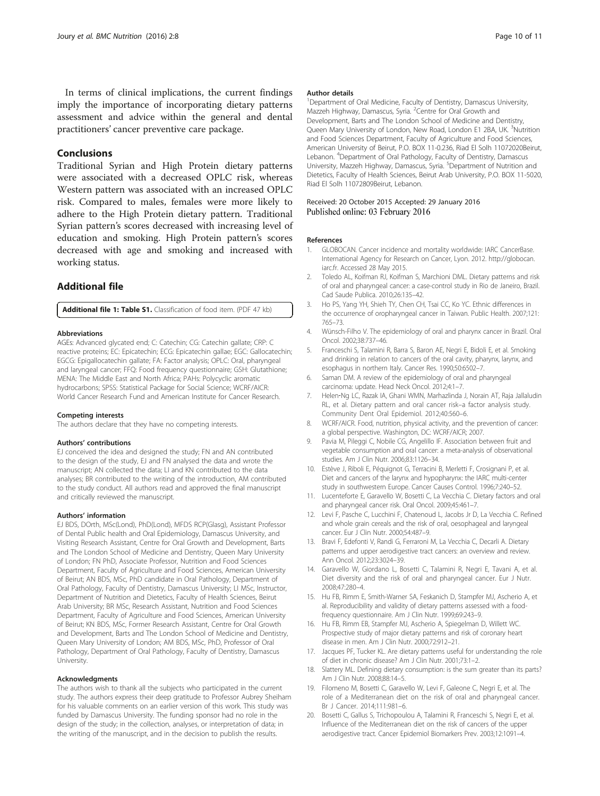<span id="page-9-0"></span>In terms of clinical implications, the current findings imply the importance of incorporating dietary patterns assessment and advice within the general and dental practitioners' cancer preventive care package.

### Conclusions

Traditional Syrian and High Protein dietary patterns were associated with a decreased OPLC risk, whereas Western pattern was associated with an increased OPLC risk. Compared to males, females were more likely to adhere to the High Protein dietary pattern. Traditional Syrian pattern's scores decreased with increasing level of education and smoking. High Protein pattern's scores decreased with age and smoking and increased with working status.

# Additional file

[Additional file 1: Table S1.](dx.doi.org/10.1186/s40795-016-0048-8) Classification of food item. (PDF 47 kb)

#### Abbreviations

AGEs: Advanced glycated end; C: Catechin; CG: Catechin gallate; CRP: C reactive proteins; EC: Epicatechin; ECG: Epicatechin gallae; EGC: Gallocatechin; EGCG: Epigallocatechin gallate; FA: Factor analysis; OPLC: Oral, pharyngeal and laryngeal cancer; FFQ: Food frequency questionnaire; GSH: Glutathione; MENA: The Middle East and North Africa; PAHs: Polycyclic aromatic hydrocarbons; SPSS: Statistical Package for Social Science; WCRF/AICR: World Cancer Research Fund and American Institute for Cancer Research.

#### Competing interests

The authors declare that they have no competing interests.

#### Authors' contributions

EJ conceived the idea and designed the study; FN and AN contributed to the design of the study, EJ and FN analysed the data and wrote the manuscript; AN collected the data; LI and KN contributed to the data analyses; BR contributed to the writing of the introduction, AM contributed to the study conduct. All authors read and approved the final manuscript and critically reviewed the manuscript.

#### Authors' information

EJ BDS, DOrth, MSc(Lond), PhD(Lond), MFDS RCP(Glasg), Assistant Professor of Dental Public health and Oral Epidemiology, Damascus University, and Visiting Research Assistant, Centre for Oral Growth and Development, Barts and The London School of Medicine and Dentistry, Queen Mary University of London; FN PhD, Associate Professor, Nutrition and Food Sciences Department, Faculty of Agriculture and Food Sciences, American University of Beirut; AN BDS, MSc, PhD candidate in Oral Pathology, Department of Oral Pathology, Faculty of Dentistry, Damascus University; LI MSc, Instructor, Department of Nutrition and Dietetics, Faculty of Health Sciences, Beirut Arab University; BR MSc, Research Assistant, Nutrition and Food Sciences Department, Faculty of Agriculture and Food Sciences, American University of Beirut; KN BDS, MSc, Former Research Assistant, Centre for Oral Growth and Development, Barts and The London School of Medicine and Dentistry, Queen Mary University of London; AM BDS, MSc, PhD, Professor of Oral Pathology, Department of Oral Pathology, Faculty of Dentistry, Damascus University.

#### Acknowledgments

The authors wish to thank all the subjects who participated in the current study. The authors express their deep gratitude to Professor Aubrey Sheiham for his valuable comments on an earlier version of this work. This study was funded by Damascus University. The funding sponsor had no role in the design of the study; in the collection, analyses, or interpretation of data; in the writing of the manuscript, and in the decision to publish the results.

#### Author details

<sup>1</sup> Department of Oral Medicine, Faculty of Dentistry, Damascus University Mazzeh Highway, Damascus, Syria. <sup>2</sup>Centre for Oral Growth and Development, Barts and The London School of Medicine and Dentistry, Queen Mary University of London, New Road, London E1 2BA, UK. <sup>3</sup>Nutrition and Food Sciences Department, Faculty of Agriculture and Food Sciences, American University of Beirut, P.O. BOX 11-0.236, Riad El Solh 11072020Beirut, Lebanon. <sup>4</sup>Department of Oral Pathology, Faculty of Dentistry, Damascus University, Mazzeh Highway, Damascus, Syria. <sup>5</sup>Department of Nutrition and Dietetics, Faculty of Health Sciences, Beirut Arab University, P.O. BOX 11-5020, Riad El Solh 11072809Beirut, Lebanon.

#### Received: 20 October 2015 Accepted: 29 January 2016 Published online: 03 February 2016

#### References

- 1. GLOBOCAN. Cancer incidence and mortality worldwide: IARC CancerBase. International Agency for Research on Cancer, Lyon. 2012. [http://globocan.](http://globocan.iarc.fr) [iarc.fr.](http://globocan.iarc.fr) Accessed 28 May 2015.
- 2. Toledo AL, Koifman RJ, Koifman S, Marchioni DML. Dietary patterns and risk of oral and pharyngeal cancer: a case-control study in Rio de Janeiro, Brazil. Cad Saude Publica. 2010;26:135–42.
- 3. Ho PS, Yang YH, Shieh TY, Chen CH, Tsai CC, Ko YC. Ethnic differences in the occurrence of oropharyngeal cancer in Taiwan. Public Health. 2007;121: 765–73.
- 4. Wünsch-Filho V. The epidemiology of oral and pharynx cancer in Brazil. Oral Oncol. 2002;38:737–46.
- 5. Franceschi S, Talamini R, Barra S, Baron AE, Negri E, Bidoli E, et al. Smoking and drinking in relation to cancers of the oral cavity, pharynx, larynx, and esophagus in northern Italy. Cancer Res. 1990;50:6502–7.
- 6. Saman DM. A review of the epidemiology of oral and pharyngeal carcinoma: update. Head Neck Oncol. 2012;4:1–7.
- 7. Helen‐Ng LC, Razak IA, Ghani WMN, Marhazlinda J, Norain AT, Raja Jallaludin RL, et al. Dietary pattern and oral cancer risk–a factor analysis study. Community Dent Oral Epidemiol. 2012;40:560–6.
- 8. WCRF/AICR. Food, nutrition, physical activity, and the prevention of cancer: a global perspective. Washington, DC: WCRF/AICR; 2007.
- 9. Pavia M, Pileggi C, Nobile CG, Angelillo IF. Association between fruit and vegetable consumption and oral cancer: a meta-analysis of observational studies. Am J Clin Nutr. 2006;83:1126–34.
- 10. Estève J, Riboli E, Péquignot G, Terracini B, Merletti F, Crosignani P, et al. Diet and cancers of the larynx and hypopharynx: the IARC multi-center study in southwestern Europe. Cancer Causes Control. 1996;7:240–52.
- 11. Lucenteforte E, Garavello W, Bosetti C, La Vecchia C. Dietary factors and oral and pharyngeal cancer risk. Oral Oncol. 2009;45:461–7.
- 12. Levi F, Pasche C, Lucchini F, Chatenoud L, Jacobs Jr D, La Vecchia C. Refined and whole grain cereals and the risk of oral, oesophageal and laryngeal cancer. Eur J Clin Nutr. 2000;54:487–9.
- 13. Bravi F, Edefonti V, Randi G, Ferraroni M, La Vecchia C, Decarli A. Dietary patterns and upper aerodigestive tract cancers: an overview and review. Ann Oncol. 2012;23:3024–39.
- 14. Garavello W, Giordano L, Bosetti C, Talamini R, Negri E, Tavani A, et al. Diet diversity and the risk of oral and pharyngeal cancer. Eur J Nutr. 2008;47:280–4.
- 15. Hu FB, Rimm E, Smith-Warner SA, Feskanich D, Stampfer MJ, Ascherio A, et al. Reproducibility and validity of dietary patterns assessed with a foodfrequency questionnaire. Am J Clin Nutr. 1999;69:243–9.
- 16. Hu FB, Rimm EB, Stampfer MJ, Ascherio A, Spiegelman D, Willett WC. Prospective study of major dietary patterns and risk of coronary heart disease in men. Am J Clin Nutr. 2000;72:912–21.
- 17. Jacques PF, Tucker KL. Are dietary patterns useful for understanding the role of diet in chronic disease? Am J Clin Nutr. 2001;73:1–2.
- 18. Slattery ML. Defining dietary consumption: is the sum greater than its parts? Am J Clin Nutr. 2008;88:14–5.
- 19. Filomeno M, Bosetti C, Garavello W, Levi F, Galeone C, Negri E, et al. The role of a Mediterranean diet on the risk of oral and pharyngeal cancer. Br J Cancer. 2014;111:981–6.
- 20. Bosetti C, Gallus S, Trichopoulou A, Talamini R, Franceschi S, Negri E, et al. Influence of the Mediterranean diet on the risk of cancers of the upper aerodigestive tract. Cancer Epidemiol Biomarkers Prev. 2003;12:1091–4.